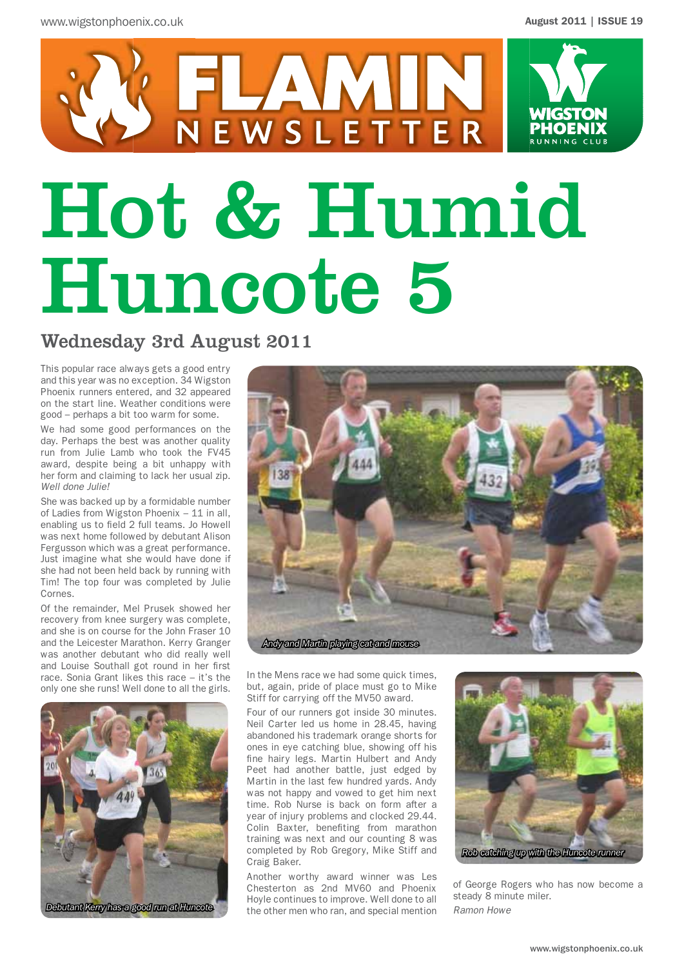

# Hot & Humid Huncote 5

### Wednesday 3rd August 2011

This popular race always gets a good entry and this year was no exception. 34 Wigston Phoenix runners entered, and 32 appeared on the start line. Weather conditions were good – perhaps a bit too warm for some.

We had some good performances on the day. Perhaps the best was another quality run from Julie Lamb who took the FV45 award, despite being a bit unhappy with her form and claiming to lack her usual zip. *Well done Julie!*

She was backed up by a formidable number of Ladies from Wigston Phoenix – 11 in all, enabling us to field 2 full teams. Jo Howell was next home followed by debutant Alison Fergusson which was a great performance. Just imagine what she would have done if she had not been held back by running with Tim! The top four was completed by Julie Cornes.

Of the remainder, Mel Prusek showed her recovery from knee surgery was complete, and she is on course for the John Fraser 10 and the Leicester Marathon. Kerry Granger was another debutant who did really well and Louise Southall got round in her first race. Sonia Grant likes this race – it's the only one she runs! Well done to all the girls.



*Andy and Martin playing cat and mouse*

In the Mens race we had some quick times, but, again, pride of place must go to Mike Stiff for carrying off the MV50 award.

Four of our runners got inside 30 minutes. Neil Carter led us home in 28.45, having abandoned his trademark orange shorts for ones in eye catching blue, showing off his fine hairy legs. Martin Hulbert and Andy Peet had another battle, just edged by Martin in the last few hundred yards. Andy was not happy and vowed to get him next time. Rob Nurse is back on form after a year of injury problems and clocked 29.44. Colin Baxter, benefiting from marathon training was next and our counting 8 was completed by Rob Gregory, Mike Stiff and Craig Baker.

Another worthy award winner was Les Chesterton as 2nd MV60 and Phoenix Hoyle continues to improve. Well done to all the other men who ran, and special mention



of George Rogers who has now become a steady 8 minute miler. *Ramon Howe*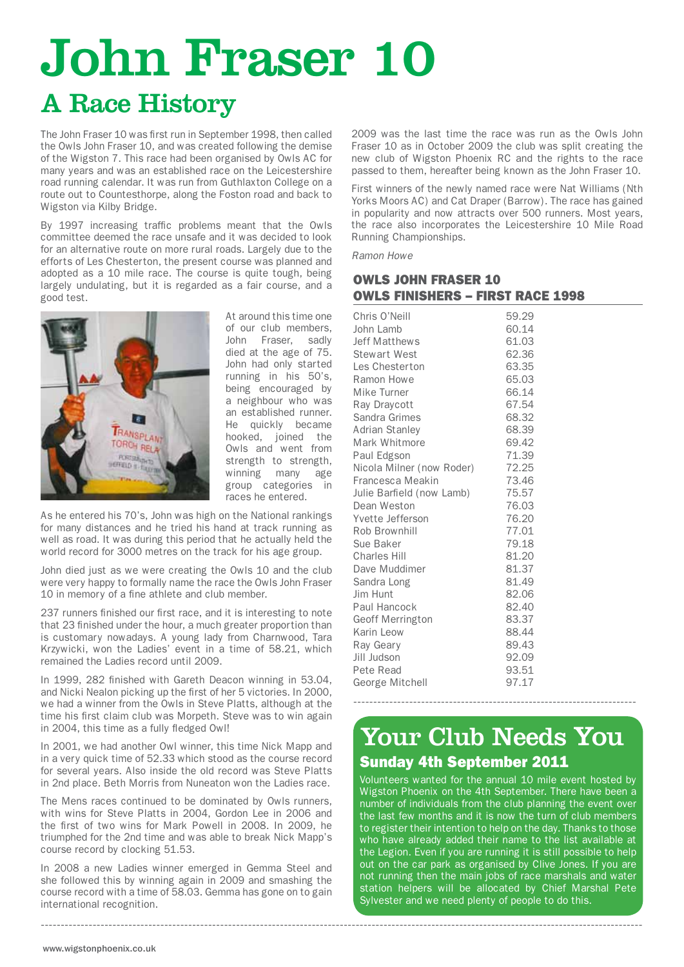# John Fraser 10

# A Race History

The John Fraser 10 was first run in September 1998, then called the Owls John Fraser 10, and was created following the demise of the Wigston 7. This race had been organised by Owls AC for many years and was an established race on the Leicestershire road running calendar. It was run from Guthlaxton College on a route out to Countesthorpe, along the Foston road and back to Wigston via Kilby Bridge.

By 1997 increasing traffic problems meant that the Owls committee deemed the race unsafe and it was decided to look for an alternative route on more rural roads. Largely due to the efforts of Les Chesterton, the present course was planned and adopted as a 10 mile race. The course is quite tough, being largely undulating, but it is regarded as a fair course, and a good test.



At around this time one of our club members, John Fraser, sadly died at the age of 75. John had only started running in his 50's, being encouraged by a neighbour who was an established runner. He quickly became hooked, joined the Owls and went from strength to strength, winning many age group categories in races he entered.

As he entered his 70's, John was high on the National rankings for many distances and he tried his hand at track running as well as road. It was during this period that he actually held the world record for 3000 metres on the track for his age group.

John died just as we were creating the Owls 10 and the club were very happy to formally name the race the Owls John Fraser 10 in memory of a fine athlete and club member.

237 runners finished our first race, and it is interesting to note that 23 finished under the hour, a much greater proportion than is customary nowadays. A young lady from Charnwood, Tara Krzywicki, won the Ladies' event in a time of 58.21, which remained the Ladies record until 2009.

In 1999, 282 finished with Gareth Deacon winning in 53.04, and Nicki Nealon picking up the first of her 5 victories. In 2000, we had a winner from the Owls in Steve Platts, although at the time his first claim club was Morpeth. Steve was to win again in 2004, this time as a fully fledged Owl!

In 2001, we had another Owl winner, this time Nick Mapp and in a very quick time of 52.33 which stood as the course record for several years. Also inside the old record was Steve Platts in 2nd place. Beth Morris from Nuneaton won the Ladies race.

The Mens races continued to be dominated by Owls runners, with wins for Steve Platts in 2004, Gordon Lee in 2006 and the first of two wins for Mark Powell in 2008. In 2009, he triumphed for the 2nd time and was able to break Nick Mapp's course record by clocking 51.53.

In 2008 a new Ladies winner emerged in Gemma Steel and she followed this by winning again in 2009 and smashing the course record with a time of 58.03. Gemma has gone on to gain international recognition.

-------------------------------------------------------------------------------------------------------------------------------------------------------

2009 was the last time the race was run as the Owls John Fraser 10 as in October 2009 the club was split creating the new club of Wigston Phoenix RC and the rights to the race passed to them, hereafter being known as the John Fraser 10.

First winners of the newly named race were Nat Williams (Nth Yorks Moors AC) and Cat Draper (Barrow). The race has gained in popularity and now attracts over 500 runners. Most years, the race also incorporates the Leicestershire 10 Mile Road Running Championships.

*Ramon Howe*

#### OWLS JOHN FRASER 10 OWLS FINISHERS – FIRST RACE 1998

## Sunday 4th September 2011 Your Club Needs You

-----------------------------------------------------------------------

Volunteers wanted for the annual 10 mile event hosted by Wigston Phoenix on the 4th September. There have been a number of individuals from the club planning the event over the last few months and it is now the turn of club members to register their intention to help on the day. Thanks to those who have already added their name to the list available at the Legion. Even if you are running it is still possible to help out on the car park as organised by Clive Jones. If you are not running then the main jobs of race marshals and water station helpers will be allocated by Chief Marshal Pete Sylvester and we need plenty of people to do this.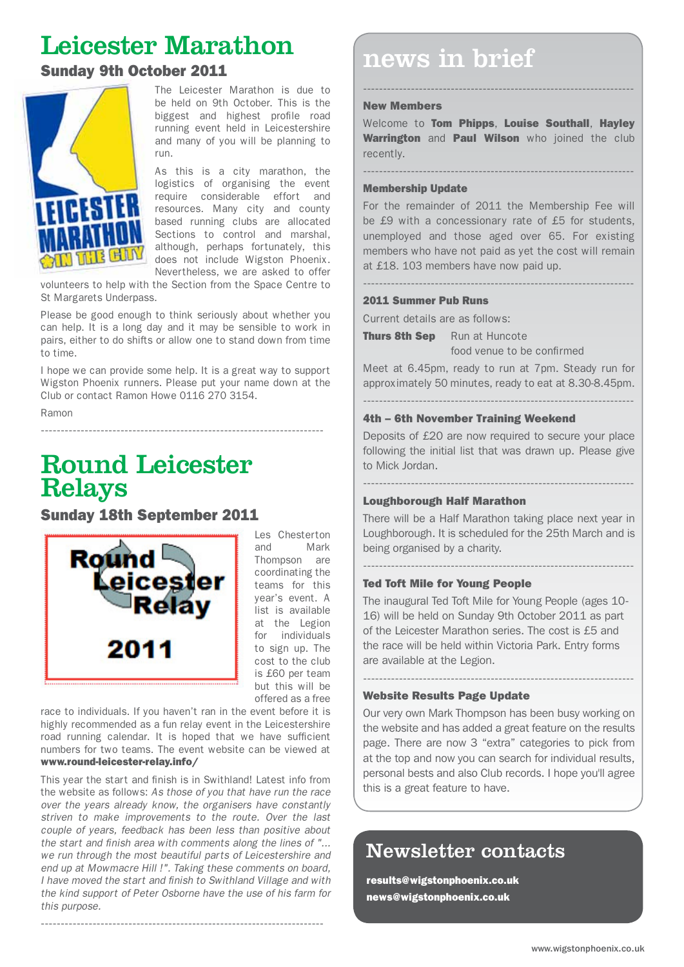# Leicester Marathon



The Leicester Marathon is due to be held on 9th October. This is the biggest and highest profile road running event held in Leicestershire and many of you will be planning to run.

As this is a city marathon, the logistics of organising the event require considerable effort and resources. Many city and county based running clubs are allocated Sections to control and marshal, although, perhaps fortunately, this does not include Wigston Phoenix. Nevertheless, we are asked to offer

volunteers to help with the Section from the Space Centre to St Margarets Underpass.

Please be good enough to think seriously about whether you can help. It is a long day and it may be sensible to work in pairs, either to do shifts or allow one to stand down from time to time.

I hope we can provide some help. It is a great way to support Wigston Phoenix runners. Please put your name down at the Club or contact Ramon Howe 0116 270 3154.

-----------------------------------------------------------------------

Ramon

# Round Leicester Relays

Sunday 18th September 2011



Les Chesterton and Mark Thompson are coordinating the teams for this year's event. A list is available at the Legion for individuals to sign up. The cost to the club is £60 per team but this will be offered as a free

race to individuals. If you haven't ran in the event before it is highly recommended as a fun relay event in the Leicestershire road running calendar. It is hoped that we have sufficient numbers for two teams. The event website can be viewed at www.round-leicester-relay.info/

This year the start and finish is in Swithland! Latest info from the website as follows: *As those of you that have run the race over the years already know, the organisers have constantly striven to make improvements to the route. Over the last couple of years, feedback has been less than positive about the start and finish area with comments along the lines of "... we run through the most beautiful parts of Leicestershire and end up at Mowmacre Hill !". Taking these comments on board, I have moved the start and finish to Swithland Village and with the kind support of Peter Osborne have the use of his farm for this purpose.*

-----------------------------------------------------------------------

# news in brief<br>Sunday 9th October 2011

#### New Members

Welcome to Tom Phipps, Louise Southall, Hayley Warrington and Paul Wilson who joined the club recently.

--------------------------------------------------------------------

--------------------------------------------------------------------

#### Membership Update

For the remainder of 2011 the Membership Fee will be £9 with a concessionary rate of £5 for students, unemployed and those aged over 65. For existing members who have not paid as yet the cost will remain at £18. 103 members have now paid up.

--------------------------------------------------------------------

#### 2011 Summer Pub Runs

Current details are as follows:

**Thurs 8th Sep** Run at Huncote food venue to be confirmed

Meet at 6.45pm, ready to run at 7pm. Steady run for approximately 50 minutes, ready to eat at 8.30-8.45pm.

--------------------------------------------------------------------

#### 4th – 6th November Training Weekend

Deposits of £20 are now required to secure your place following the initial list that was drawn up. Please give to Mick Jordan.

--------------------------------------------------------------------

#### Loughborough Half Marathon

There will be a Half Marathon taking place next year in Loughborough. It is scheduled for the 25th March and is being organised by a charity.

--------------------------------------------------------------------

#### Ted Toft Mile for Young People

The inaugural Ted Toft Mile for Young People (ages 10- 16) will be held on Sunday 9th October 2011 as part of the Leicester Marathon series. The cost is £5 and the race will be held within Victoria Park. Entry forms are available at the Legion.

--------------------------------------------------------------------

#### Website Results Page Update

Our very own Mark Thompson has been busy working on the website and has added a great feature on the results page. There are now 3 "extra" categories to pick from at the top and now you can search for individual results, personal bests and also Club records. I hope you'll agree this is a great feature to have.

### Newsletter contacts

results@wigstonphoenix.co.uk news@wigstonphoenix.co.uk